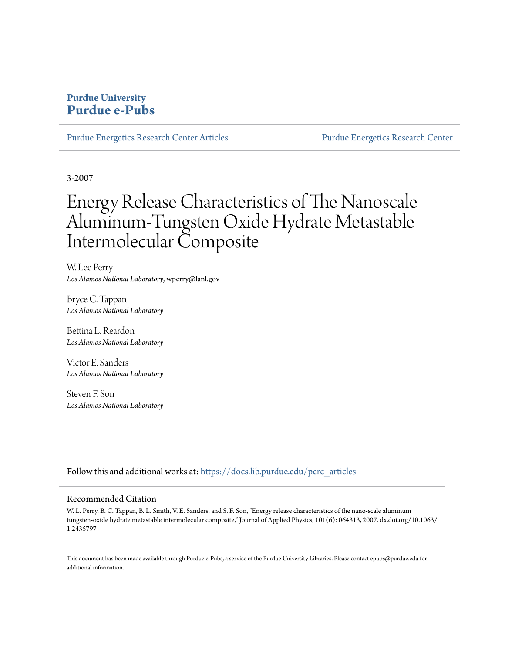# **Purdue University [Purdue e-Pubs](https://docs.lib.purdue.edu?utm_source=docs.lib.purdue.edu%2Fperc_articles%2F16&utm_medium=PDF&utm_campaign=PDFCoverPages)**

[Purdue Energetics Research Center Articles](https://docs.lib.purdue.edu/perc_articles?utm_source=docs.lib.purdue.edu%2Fperc_articles%2F16&utm_medium=PDF&utm_campaign=PDFCoverPages) [Purdue Energetics Research Center](https://docs.lib.purdue.edu/perc?utm_source=docs.lib.purdue.edu%2Fperc_articles%2F16&utm_medium=PDF&utm_campaign=PDFCoverPages)

3-2007

# Energy Release Characteristics of The Nanoscale Aluminum-Tungsten Oxide Hydrate Metastable Intermolecular Composite

W. Lee Perry *Los Alamos National Laboratory*, wperry@lanl.gov

Bryce C. Tappan *Los Alamos National Laboratory*

Bettina L. Reardon *Los Alamos National Laboratory*

Victor E. Sanders *Los Alamos National Laboratory*

Steven F. Son *Los Alamos National Laboratory*

Follow this and additional works at: [https://docs.lib.purdue.edu/perc\\_articles](https://docs.lib.purdue.edu/perc_articles?utm_source=docs.lib.purdue.edu%2Fperc_articles%2F16&utm_medium=PDF&utm_campaign=PDFCoverPages)

### Recommended Citation

W. L. Perry, B. C. Tappan, B. L. Smith, V. E. Sanders, and S. F. Son, "Energy release characteristics of the nano-scale aluminum tungsten-oxide hydrate metastable intermolecular composite," Journal of Applied Physics, 101(6): 064313, 2007. dx.doi.org/10.1063/ 1.2435797

This document has been made available through Purdue e-Pubs, a service of the Purdue University Libraries. Please contact epubs@purdue.edu for additional information.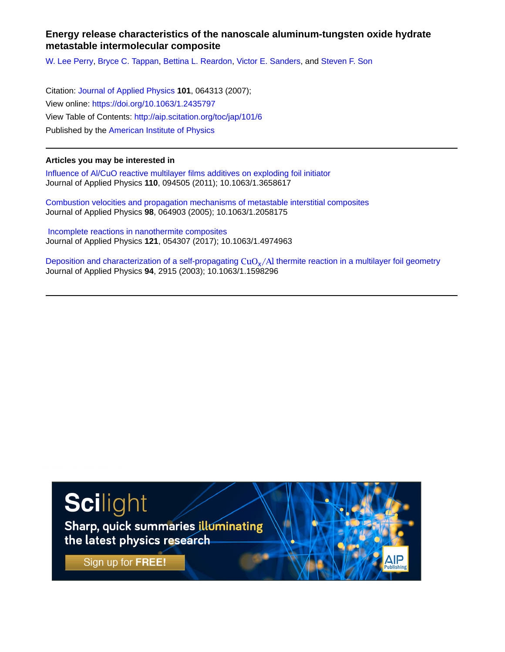## **Energy release characteristics of the nanoscale aluminum-tungsten oxide hydrate metastable intermolecular composite**

[W. Lee Perry](http://aip.scitation.org/author/Lee+Perry%2C+W), [Bryce C. Tappan,](http://aip.scitation.org/author/Tappan%2C+Bryce+C) [Bettina L. Reardon](http://aip.scitation.org/author/Reardon%2C+Bettina+L), [Victor E. Sanders,](http://aip.scitation.org/author/Sanders%2C+Victor+E) and [Steven F. Son](http://aip.scitation.org/author/Son%2C+Steven+F)

Citation: [Journal of Applied Physics](/loi/jap) **101**, 064313 (2007); View online: <https://doi.org/10.1063/1.2435797> View Table of Contents: <http://aip.scitation.org/toc/jap/101/6> Published by the [American Institute of Physics](http://aip.scitation.org/publisher/)

## **Articles you may be interested in**

[Influence of Al/CuO reactive multilayer films additives on exploding foil initiator](http://aip.scitation.org/doi/abs/10.1063/1.3658617) Journal of Applied Physics **110**, 094505 (2011); 10.1063/1.3658617

[Combustion velocities and propagation mechanisms of metastable interstitial composites](http://aip.scitation.org/doi/abs/10.1063/1.2058175) Journal of Applied Physics **98**, 064903 (2005); 10.1063/1.2058175

 [Incomplete reactions in nanothermite composites](http://aip.scitation.org/doi/abs/10.1063/1.4974963) Journal of Applied Physics **121**, 054307 (2017); 10.1063/1.4974963

Deposition and characterization of a self-propagating  $CuO<sub>x</sub>/Al$  thermite reaction in a multilayer foil geometry Journal of Applied Physics **94**, 2915 (2003); 10.1063/1.1598296



Sharp, quick summaries illuminating the latest physics research

Sign up for FREE!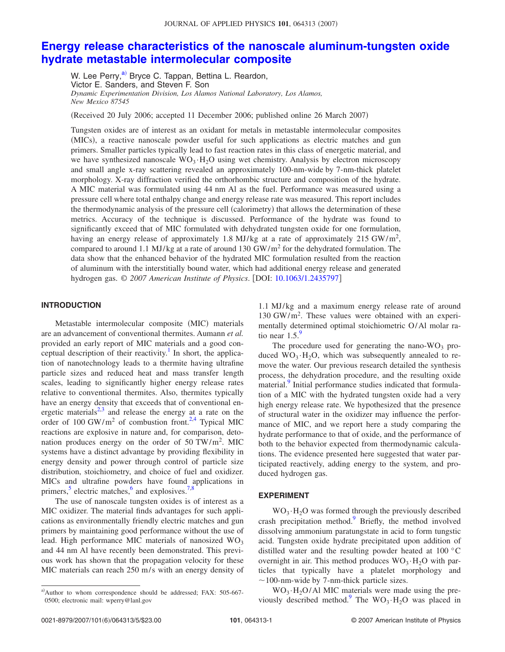#### JOURNAL OF APPLIED PHYSICS 101, 064313 (2007)

## **[Energy release characteristics of the nanoscale aluminum-tungsten oxide](http://dx.doi.org/10.1063/1.2435797) [hydrate metastable intermolecular composite](http://dx.doi.org/10.1063/1.2435797)**

W. Lee Perry,<sup>a)</sup> Bryce C. Tappan, Bettina L. Reardon, Victor E. Sanders, and Steven F. Son *Dynamic Experimentation Division, Los Alamos National Laboratory, Los Alamos, New Mexico 87545*

(Received 20 July 2006; accepted 11 December 2006; published online 26 March 2007)

Tungsten oxides are of interest as an oxidant for metals in metastable intermolecular composites (MICs), a reactive nanoscale powder useful for such applications as electric matches and gun primers. Smaller particles typically lead to fast reaction rates in this class of energetic material, and we have synthesized nanoscale WO<sub>3</sub> · H<sub>2</sub>O using wet chemistry. Analysis by electron microscopy and small angle x-ray scattering revealed an approximately 100-nm-wide by 7-nm-thick platelet morphology. X-ray diffraction verified the orthorhombic structure and composition of the hydrate. A MIC material was formulated using 44 nm Al as the fuel. Performance was measured using a pressure cell where total enthalpy change and energy release rate was measured. This report includes the thermodynamic analysis of the pressure cell (calorimetry) that allows the determination of these metrics. Accuracy of the technique is discussed. Performance of the hydrate was found to significantly exceed that of MIC formulated with dehydrated tungsten oxide for one formulation, having an energy release of approximately 1.8 MJ/kg at a rate of approximately 215 GW/m<sup>2</sup>, compared to around 1.1 MJ/kg at a rate of around 130 GW/m<sup>2</sup> for the dehydrated formulation. The data show that the enhanced behavior of the hydrated MIC formulation resulted from the reaction of aluminum with the interstitially bound water, which had additional energy release and generated hydrogen gas. © *2007 American Institute of Physics*. DOI: [10.1063/1.2435797](http://dx.doi.org/10.1063/1.2435797)

#### **INTRODUCTION**

Metastable intermolecular composite (MIC) materials are an advancement of conventional thermites. Aumann *et al.* provided an early report of MIC materials and a good conceptual description of their reactivity.<sup>1</sup> In short, the application of nanotechnology leads to a thermite having ultrafine particle sizes and reduced heat and mass transfer length scales, leading to significantly higher energy release rates relative to conventional thermites. Also, thermites typically have an energy density that exceeds that of conventional energetic materials $^{2,3}$  $^{2,3}$  $^{2,3}$  and release the energy at a rate on the order of 100 GW/m<sup>2</sup> of combustion front.<sup>2,[4](#page-6-3)</sup> Typical MIC reactions are explosive in nature and, for comparison, detonation produces energy on the order of 50 TW/m<sup>2</sup>. MIC systems have a distinct advantage by providing flexibility in energy density and power through control of particle size distribution, stoichiometry, and choice of fuel and oxidizer. MICs and ultrafine powders have found applications in primers, $\frac{5}{3}$  electric matches, $\frac{6}{3}$  and explosives.<sup>7[,8](#page-6-7)</sup>

The use of nanoscale tungsten oxides is of interest as a MIC oxidizer. The material finds advantages for such applications as environmentally friendly electric matches and gun primers by maintaining good performance without the use of lead. High performance MIC materials of nanosized  $WO_3$ and 44 nm Al have recently been demonstrated. This previous work has shown that the propagation velocity for these MIC materials can reach 250 m/s with an energy density of

1.1 MJ/kg and a maximum energy release rate of around 130 GW/m<sup>2</sup> . These values were obtained with an experimentally determined optimal stoichiometric O/Al molar ratio near  $1.5$ .

The procedure used for generating the nano- $WO_3$  produced  $WO_3·H_2O$ , which was subsequently annealed to remove the water. Our previous research detailed the synthesis process, the dehydration procedure, and the resulting oxide material.<sup>9</sup> Initial performance studies indicated that formulation of a MIC with the hydrated tungsten oxide had a very high energy release rate. We hypothesized that the presence of structural water in the oxidizer may influence the performance of MIC, and we report here a study comparing the hydrate performance to that of oxide, and the performance of both to the behavior expected from thermodynamic calculations. The evidence presented here suggested that water participated reactively, adding energy to the system, and produced hydrogen gas.

#### **EXPERIMENT**

 $WO<sub>3</sub>·H<sub>2</sub>O$  was formed through the previously described crash precipitation method.<sup>9</sup> Briefly, the method involved dissolving ammonium paratungstate in acid to form tungstic acid. Tungsten oxide hydrate precipitated upon addition of distilled water and the resulting powder heated at 100 °C overnight in air. This method produces  $WO_3 \cdot H_2O$  with particles that typically have a platelet morphology and  $\sim$ 100-nm-wide by 7-nm-thick particle sizes.

 $WO_3 \cdot H_2O/A1$  MIC materials were made using the previously described method.<sup>9</sup> The WO<sub>3</sub> · H<sub>2</sub>O was placed in

<span id="page-2-0"></span>a)Author to whom correspondence should be addressed; FAX: 505-667-0500; electronic mail: wperry@lanl.gov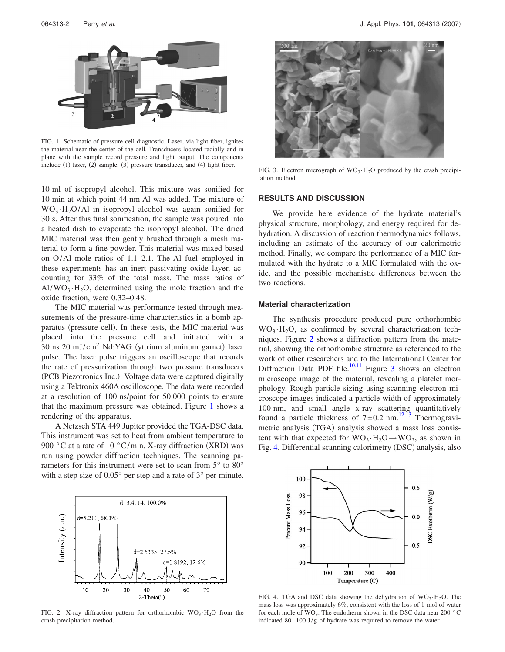<span id="page-3-0"></span>

FIG. 1. Schematic of pressure cell diagnostic. Laser, via light fiber, ignites the material near the center of the cell. Transducers located radially and in plane with the sample record pressure and light output. The components include (1) laser, (2) sample, (3) pressure transducer, and (4) light fiber.

10 ml of isopropyl alcohol. This mixture was sonified for 10 min at which point 44 nm Al was added. The mixture of  $WO_3 \cdot H_2O/A1$  in isopropyl alcohol was again sonified for 30 s. After this final sonification, the sample was poured into a heated dish to evaporate the isopropyl alcohol. The dried MIC material was then gently brushed through a mesh material to form a fine powder. This material was mixed based on O/Al mole ratios of 1.1–2.1. The Al fuel employed in these experiments has an inert passivating oxide layer, accounting for 33% of the total mass. The mass ratios of  $Al/WO_3 \cdot H_2O$ , determined using the mole fraction and the oxide fraction, were 0.32–0.48.

The MIC material was performance tested through measurements of the pressure-time characteristics in a bomb apparatus (pressure cell). In these tests, the MIC material was placed into the pressure cell and initiated with a 30 ns 20 mJ/cm<sup>2</sup> Nd:YAG (yttrium aluminum garnet) laser pulse. The laser pulse triggers an oscilloscope that records the rate of pressurization through two pressure transducers (PCB Piezotronics Inc.). Voltage data were captured digitally using a Tektronix 460A oscilloscope. The data were recorded at a resolution of 100 ns/point for 50 000 points to ensure that the maximum pressure was obtained. Figure [1](#page-3-0) shows a rendering of the apparatus.

A Netzsch STA 449 Jupiter provided the TGA-DSC data. This instrument was set to heat from ambient temperature to 900 °C at a rate of 10 °C/min. X-ray diffraction (XRD) was run using powder diffraction techniques. The scanning parameters for this instrument were set to scan from 5° to 80° with a step size of  $0.05^{\circ}$  per step and a rate of  $3^{\circ}$  per minute.

<span id="page-3-1"></span>

FIG. 2. X-ray diffraction pattern for orthorhombic  $WO_3 \cdot H_2O$  from the crash precipitation method.

<span id="page-3-2"></span>

FIG. 3. Electron micrograph of  $WO_3 \cdot H_2O$  produced by the crash precipitation method.

#### **RESULTS AND DISCUSSION**

We provide here evidence of the hydrate material's physical structure, morphology, and energy required for dehydration. A discussion of reaction thermodynamics follows, including an estimate of the accuracy of our calorimetric method. Finally, we compare the performance of a MIC formulated with the hydrate to a MIC formulated with the oxide, and the possible mechanistic differences between the two reactions.

#### **Material characterization**

The synthesis procedure produced pure orthorhombic  $WO_3 \cdot H_2O$ , as confirmed by several characterization techniques. Figure [2](#page-3-1) shows a diffraction pattern from the material, showing the orthorhombic structure as referenced to the work of other researchers and to the International Center for Diffraction Data PDF file.<sup>10[,11](#page-6-10)</sup> Figure [3](#page-3-2) shows an electron microscope image of the material, revealing a platelet morphology. Rough particle sizing using scanning electron microscope images indicated a particle width of approximately 100 nm, and small angle x-ray scattering quantitatively found a particle thickness of  $7 \pm 0.2$  nm.<sup>12[,13](#page-6-12)</sup> Thermogravimetric analysis (TGA) analysis showed a mass loss consistent with that expected for  $WO_3 \cdot H_2O \rightarrow WO_3$ , as shown in Fig. [4.](#page-3-3) Differential scanning calorimetry (DSC) analysis, also

<span id="page-3-3"></span>

FIG. 4. TGA and DSC data showing the dehydration of  $WO_3 \cdot H_2O$ . The mass loss was approximately 6%, consistent with the loss of 1 mol of water for each mole of  $WO_3$ . The endotherm shown in the DSC data near 200 °C indicated 80–100 J/g of hydrate was required to remove the water.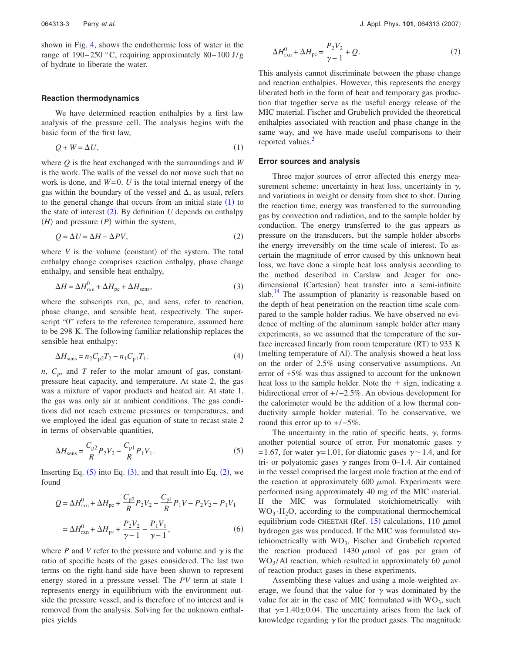shown in Fig. [4,](#page-3-3) shows the endothermic loss of water in the range of  $190-250$  °C, requiring approximately 80-100 J/g of hydrate to liberate the water.

#### **Reaction thermodynamics**

We have determined reaction enthalpies by a first law analysis of the pressure cell. The analysis begins with the basic form of the first law,

$$
Q + W = \Delta U,\tag{1}
$$

<span id="page-4-0"></span>where *Q* is the heat exchanged with the surroundings and *W* is the work. The walls of the vessel do not move such that no work is done, and  $W=0$ . *U* is the total internal energy of the gas within the boundary of the vessel and  $\Delta$ , as usual, refers to the general change that occurs from an initial state  $(1)$  $(1)$  $(1)$  to the state of interest  $(2)$  $(2)$  $(2)$ . By definition  $U$  depends on enthalpy  $(H)$  and pressure  $(P)$  within the system,

$$
Q = \Delta U = \Delta H - \Delta PV,\tag{2}
$$

<span id="page-4-1"></span>where  $V$  is the volume (constant) of the system. The total enthalpy change comprises reaction enthalpy, phase change enthalpy, and sensible heat enthalpy,

$$
\Delta H = \Delta H_{\text{rxn}}^0 + \Delta H_{\text{pc}} + \Delta H_{\text{sens}},\tag{3}
$$

<span id="page-4-3"></span>where the subscripts rxn, pc, and sens, refer to reaction, phase change, and sensible heat, respectively. The superscript "0" refers to the reference temperature, assumed here to be 298 K. The following familiar relationship replaces the sensible heat enthalpy:

$$
\Delta H_{\rm sens} = n_2 C_{\rm p2} T_2 - n_1 C_{\rm p1} T_1. \tag{4}
$$

 $n, C_p$ , and *T* refer to the molar amount of gas, constantpressure heat capacity, and temperature. At state 2, the gas was a mixture of vapor products and heated air. At state 1, the gas was only air at ambient conditions. The gas conditions did not reach extreme pressures or temperatures, and we employed the ideal gas equation of state to recast state 2 in terms of observable quantities,

<span id="page-4-2"></span>
$$
\Delta H_{\rm sens} = \frac{C_{\rm p2}}{R} P_2 V_2 - \frac{C_{\rm p1}}{R} P_1 V_1. \tag{5}
$$

Inserting Eq.  $(5)$  $(5)$  $(5)$  into Eq.  $(3)$  $(3)$  $(3)$ , and that result into Eq.  $(2)$  $(2)$  $(2)$ , we found

$$
Q = \Delta H_{rxn}^{0} + \Delta H_{pc} + \frac{C_{p2}}{R} P_2 V_2 - \frac{C_{p1}}{R} P_1 V - P_2 V_2 - P_1 V_1
$$
  
=  $\Delta H_{rxn}^{0} + \Delta H_{pc} + \frac{P_2 V_2}{\gamma - 1} - \frac{P_1 V_1}{\gamma - 1}$ , (6)

where  $P$  and  $V$  refer to the pressure and volume and  $\gamma$  is the ratio of specific heats of the gases considered. The last two terms on the right-hand side have been shown to represent energy stored in a pressure vessel. The *PV* term at state 1 represents energy in equilibrium with the environment outside the pressure vessel, and is therefore of no interest and is removed from the analysis. Solving for the unknown enthalpies yields

$$
\Delta H_{\text{rxn}}^0 + \Delta H_{\text{pc}} = \frac{P_2 V_2}{\gamma - 1} + Q. \tag{7}
$$

This analysis cannot discriminate between the phase change and reaction enthalpies. However, this represents the energy liberated both in the form of heat and temporary gas production that together serve as the useful energy release of the MIC material. Fischer and Grubelich provided the theoretical enthalpies associated with reaction and phase change in the same way, and we have made useful comparisons to their reported values.<sup>2</sup>

#### **Error sources and analysis**

Three major sources of error affected this energy measurement scheme: uncertainty in heat loss, uncertainty in  $\gamma$ , and variations in weight or density from shot to shot. During the reaction time, energy was transferred to the surrounding gas by convection and radiation, and to the sample holder by conduction. The energy transferred to the gas appears as pressure on the transducers, but the sample holder absorbs the energy irreversibly on the time scale of interest. To ascertain the magnitude of error caused by this unknown heat loss, we have done a simple heat loss analysis according to the method described in Carslaw and Jeager for onedimensional (Cartesian) heat transfer into a semi-infinite slab.<sup>14</sup> The assumption of planarity is reasonable based on the depth of heat penetration on the reaction time scale compared to the sample holder radius. We have observed no evidence of melting of the aluminum sample holder after many experiments, so we assumed that the temperature of the surface increased linearly from room temperature (RT) to 933 K (melting temperature of Al). The analysis showed a heat loss on the order of 2.5% using conservative assumptions. An error of +5% was thus assigned to account for the unknown heat loss to the sample holder. Note the  $+$  sign, indicating a bidirectional error of +/−2.5%. An obvious development for the calorimeter would be the addition of a low thermal conductivity sample holder material. To be conservative, we round this error up to  $+/-5\%$ .

The uncertainty in the ratio of specific heats,  $\gamma$ , forms another potential source of error. For monatomic gases  $\gamma$ =1.67, for water  $\gamma$ =1.01, for diatomic gases  $\gamma$  ~1.4, and for tri- or polyatomic gases  $\gamma$  ranges from 0–1.4. Air contained in the vessel comprised the largest mole fraction at the end of the reaction at approximately 600  $\mu$ mol. Experiments were performed using approximately 40 mg of the MIC material. If the MIC was formulated stoichiometrically with  $WO<sub>3</sub>·H<sub>2</sub>O$ , according to the computational thermochemical equilibrium code CHEETAH (Ref. [15](#page-6-14)) calculations, 110  $\mu$ mol hydrogen gas was produced. If the MIC was formulated stoichiometrically with  $WO_3$ , Fischer and Grubelich reported the reaction produced 1430  $\mu$ mol of gas per gram of  $WO<sub>3</sub>/Al reaction, which resulted in approximately 60  $\mu$ mol$ of reaction product gases in these experiments.

Assembling these values and using a mole-weighted average, we found that the value for  $\gamma$  was dominated by the value for air in the case of MIC formulated with  $WO_3$ , such that  $\gamma = 1.40 \pm 0.04$ . The uncertainty arises from the lack of knowledge regarding  $\gamma$  for the product gases. The magnitude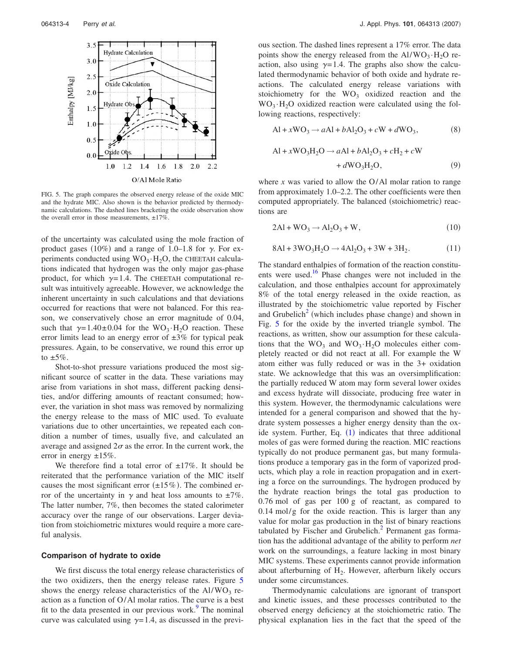<span id="page-5-0"></span>

FIG. 5. The graph compares the observed energy release of the oxide MIC and the hydrate MIC. Also shown is the behavior predicted by thermodynamic calculations. The dashed lines bracketing the oxide observation show the overall error in those measurements,  $\pm 17\%$ .

of the uncertainty was calculated using the mole fraction of product gases (10%) and a range of 1.0–1.8 for  $\gamma$ . For experiments conducted using  $WO_3·H_2O$ , the CHEETAH calculations indicated that hydrogen was the only major gas-phase product, for which  $\gamma = 1.4$ . The CHEETAH computational result was intuitively agreeable. However, we acknowledge the inherent uncertainty in such calculations and that deviations occurred for reactions that were not balanced. For this reason, we conservatively chose an error magnitude of 0.04, such that  $\gamma = 1.40 \pm 0.04$  for the WO<sub>3</sub> · H<sub>2</sub>O reaction. These error limits lead to an energy error of  $\pm 3\%$  for typical peak pressures. Again, to be conservative, we round this error up to  $\pm 5\%$ .

Shot-to-shot pressure variations produced the most significant source of scatter in the data. These variations may arise from variations in shot mass, different packing densities, and/or differing amounts of reactant consumed; however, the variation in shot mass was removed by normalizing the energy release to the mass of MIC used. To evaluate variations due to other uncertainties, we repeated each condition a number of times, usually five, and calculated an average and assigned  $2\sigma$  as the error. In the current work, the error in energy  $\pm 15\%$ .

We therefore find a total error of  $\pm 17\%$ . It should be reiterated that the performance variation of the MIC itself causes the most significant error  $(\pm 15\%)$ . The combined error of the uncertainty in  $\gamma$  and heat loss amounts to  $\pm 7\%$ . The latter number, 7%, then becomes the stated calorimeter accuracy over the range of our observations. Larger deviation from stoichiometric mixtures would require a more careful analysis.

#### **Comparison of hydrate to oxide**

We first discuss the total energy release characteristics of the two oxidizers, then the energy release rates. Figure [5](#page-5-0) shows the energy release characteristics of the  $Al/WO<sub>3</sub>$  reaction as a function of O/Al molar ratios. The curve is a best fit to the data presented in our previous work. $9$  The nominal curve was calculated using  $\gamma = 1.4$ , as discussed in the previous section. The dashed lines represent a 17% error. The data points show the energy released from the  $Al/WO_3 \cdot H_2O$  reaction, also using  $\gamma = 1.4$ . The graphs also show the calculated thermodynamic behavior of both oxide and hydrate reactions. The calculated energy release variations with stoichiometry for the  $WO<sub>3</sub>$  oxidized reaction and the  $WO_3·H_2O$  oxidized reaction were calculated using the following reactions, respectively:

$$
Al + xWO3 \rightarrow aAl + bAl2O3 + cW + dWO3,
$$
 (8)

$$
\begin{aligned} \text{Al} + x\text{WO}_3\text{H}_2\text{O} &\rightarrow a\text{Al} + b\text{Al}_2\text{O}_3 + c\text{H}_2 + c\text{W} \\ &\quad + d\text{WO}_3\text{H}_2\text{O}, \end{aligned} \tag{9}
$$

where *x* was varied to allow the O/Al molar ration to range from approximately 1.0–2.2. The other coefficients were then computed appropriately. The balanced (stoichiometric) reactions are

$$
2\text{Al} + \text{WO}_3 \rightarrow \text{Al}_2\text{O}_3 + \text{W},\tag{10}
$$

<span id="page-5-1"></span>
$$
8\text{Al} + 3\text{WO}_3\text{H}_2\text{O} \rightarrow 4\text{Al}_2\text{O}_3 + 3\text{W} + 3\text{H}_2. \tag{11}
$$

The standard enthalpies of formation of the reaction constituents were used.<sup>16</sup> Phase changes were not included in the calculation, and those enthalpies account for approximately 8% of the total energy released in the oxide reaction, as illustrated by the stoichiometric value reported by Fischer and Grubelich<sup>2</sup> (which includes phase change) and shown in Fig. [5](#page-5-0) for the oxide by the inverted triangle symbol. The reactions, as written, show our assumption for these calculations that the  $WO_3$  and  $WO_3 \cdot H_2O$  molecules either completely reacted or did not react at all. For example the W atom either was fully reduced or was in the 3+ oxidation state. We acknowledge that this was an oversimplification: the partially reduced W atom may form several lower oxides and excess hydrate will dissociate, producing free water in this system. However, the thermodynamic calculations were intended for a general comparison and showed that the hydrate system possesses a higher energy density than the oxide system. Further, Eq.  $(1)$  $(1)$  $(1)$  indicates that three additional moles of gas were formed during the reaction. MIC reactions typically do not produce permanent gas, but many formulations produce a temporary gas in the form of vaporized products, which play a role in reaction propagation and in exerting a force on the surroundings. The hydrogen produced by the hydrate reaction brings the total gas production to 0.76 mol of gas per 100 g of reactant, as compared to 0.14 mol/g for the oxide reaction. This is larger than any value for molar gas production in the list of binary reactions tabulated by Fischer and Grubelich. $<sup>2</sup>$  Permanent gas forma-</sup> tion has the additional advantage of the ability to perform *net* work on the surroundings, a feature lacking in most binary MIC systems. These experiments cannot provide information about afterburning of  $H_2$ . However, afterburn likely occurs under some circumstances.

Thermodynamic calculations are ignorant of transport and kinetic issues, and these processes contributed to the observed energy deficiency at the stoichiometric ratio. The physical explanation lies in the fact that the speed of the